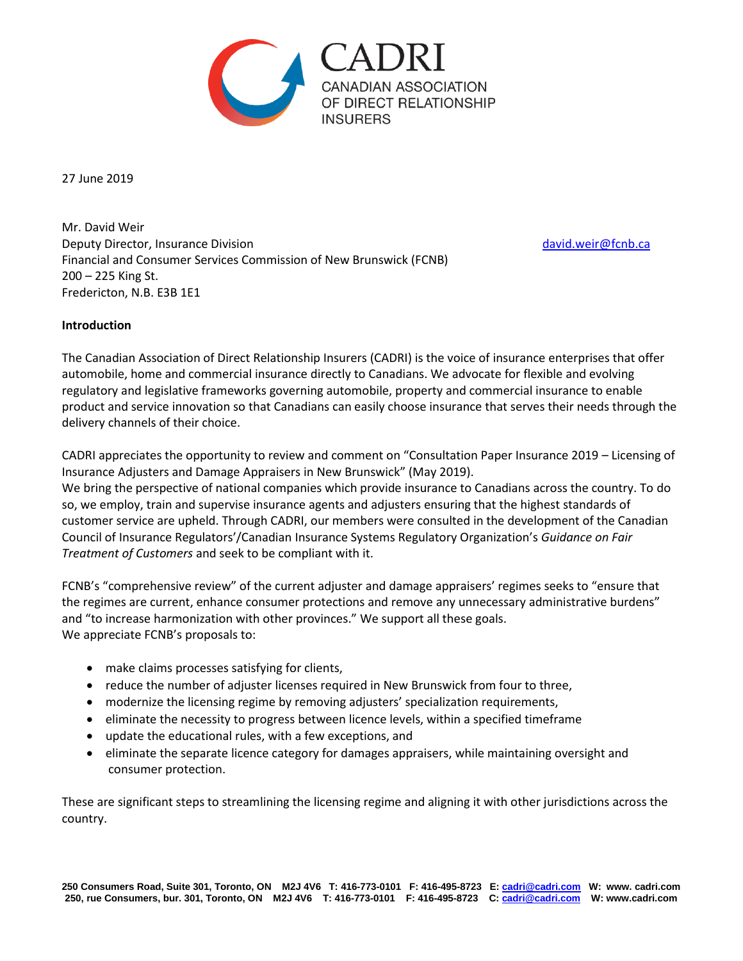

27 June 2019

Mr. David Weir Deputy Director, Insurance Division [david.weir@fcnb.ca](mailto:david.weir@fcnb.ca) Financial and Consumer Services Commission of New Brunswick (FCNB) 200 – 225 King St. Fredericton, N.B. E3B 1E1

# **Introduction**

The Canadian Association of Direct Relationship Insurers (CADRI) is the voice of insurance enterprises that offer automobile, home and commercial insurance directly to Canadians. We advocate for flexible and evolving regulatory and legislative frameworks governing automobile, property and commercial insurance to enable product and service innovation so that Canadians can easily choose insurance that serves their needs through the delivery channels of their choice.

CADRI appreciates the opportunity to review and comment on "Consultation Paper Insurance 2019 – Licensing of Insurance Adjusters and Damage Appraisers in New Brunswick" (May 2019).

We bring the perspective of national companies which provide insurance to Canadians across the country. To do so, we employ, train and supervise insurance agents and adjusters ensuring that the highest standards of customer service are upheld. Through CADRI, our members were consulted in the development of the Canadian Council of Insurance Regulators'/Canadian Insurance Systems Regulatory Organization's *Guidance on Fair Treatment of Customers* and seek to be compliant with it.

FCNB's "comprehensive review" of the current adjuster and damage appraisers' regimes seeks to "ensure that the regimes are current, enhance consumer protections and remove any unnecessary administrative burdens" and "to increase harmonization with other provinces." We support all these goals. We appreciate FCNB's proposals to:

- make claims processes satisfying for clients,
- reduce the number of adjuster licenses required in New Brunswick from four to three,
- modernize the licensing regime by removing adjusters' specialization requirements,
- eliminate the necessity to progress between licence levels, within a specified timeframe
- update the educational rules, with a few exceptions, and
- eliminate the separate licence category for damages appraisers, while maintaining oversight and consumer protection.

These are significant steps to streamlining the licensing regime and aligning it with other jurisdictions across the country.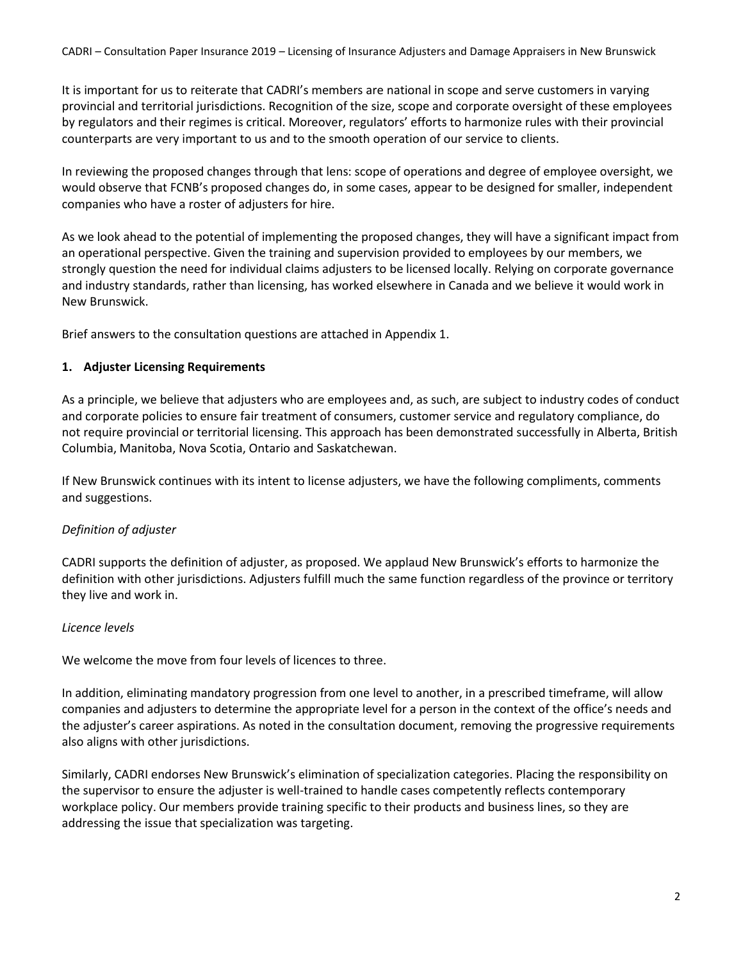It is important for us to reiterate that CADRI's members are national in scope and serve customers in varying provincial and territorial jurisdictions. Recognition of the size, scope and corporate oversight of these employees by regulators and their regimes is critical. Moreover, regulators' efforts to harmonize rules with their provincial counterparts are very important to us and to the smooth operation of our service to clients.

In reviewing the proposed changes through that lens: scope of operations and degree of employee oversight, we would observe that FCNB's proposed changes do, in some cases, appear to be designed for smaller, independent companies who have a roster of adjusters for hire.

As we look ahead to the potential of implementing the proposed changes, they will have a significant impact from an operational perspective. Given the training and supervision provided to employees by our members, we strongly question the need for individual claims adjusters to be licensed locally. Relying on corporate governance and industry standards, rather than licensing, has worked elsewhere in Canada and we believe it would work in New Brunswick.

Brief answers to the consultation questions are attached in Appendix 1.

# **1. Adjuster Licensing Requirements**

As a principle, we believe that adjusters who are employees and, as such, are subject to industry codes of conduct and corporate policies to ensure fair treatment of consumers, customer service and regulatory compliance, do not require provincial or territorial licensing. This approach has been demonstrated successfully in Alberta, British Columbia, Manitoba, Nova Scotia, Ontario and Saskatchewan.

If New Brunswick continues with its intent to license adjusters, we have the following compliments, comments and suggestions.

# *Definition of adjuster*

CADRI supports the definition of adjuster, as proposed. We applaud New Brunswick's efforts to harmonize the definition with other jurisdictions. Adjusters fulfill much the same function regardless of the province or territory they live and work in.

# *Licence levels*

We welcome the move from four levels of licences to three.

In addition, eliminating mandatory progression from one level to another, in a prescribed timeframe, will allow companies and adjusters to determine the appropriate level for a person in the context of the office's needs and the adjuster's career aspirations. As noted in the consultation document, removing the progressive requirements also aligns with other jurisdictions.

Similarly, CADRI endorses New Brunswick's elimination of specialization categories. Placing the responsibility on the supervisor to ensure the adjuster is well-trained to handle cases competently reflects contemporary workplace policy. Our members provide training specific to their products and business lines, so they are addressing the issue that specialization was targeting.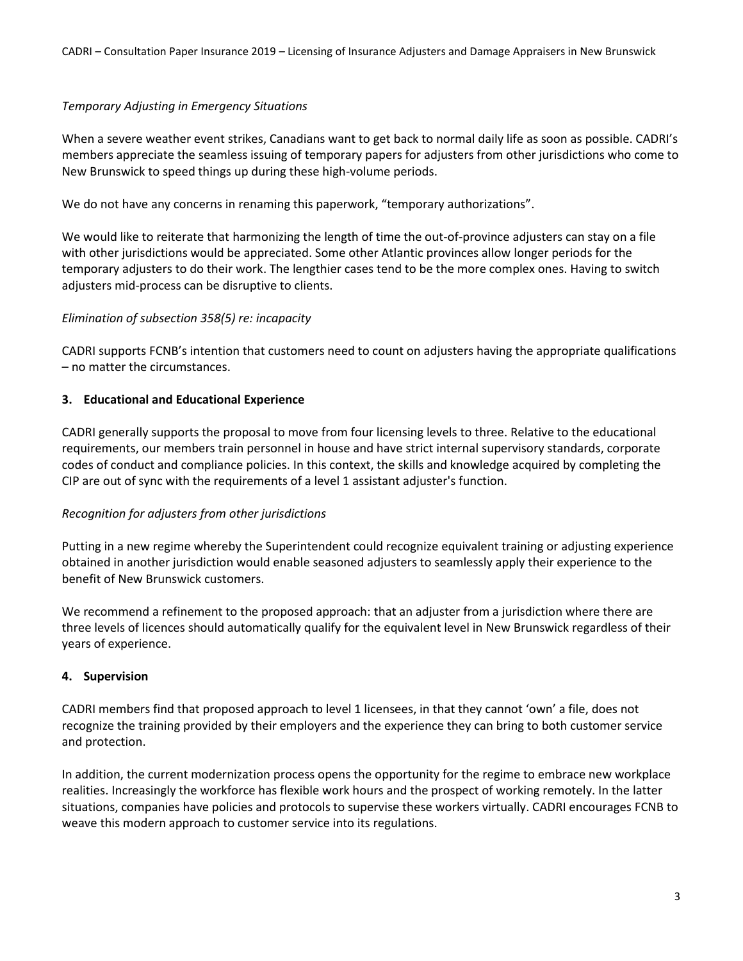# *Temporary Adjusting in Emergency Situations*

When a severe weather event strikes, Canadians want to get back to normal daily life as soon as possible. CADRI's members appreciate the seamless issuing of temporary papers for adjusters from other jurisdictions who come to New Brunswick to speed things up during these high-volume periods.

We do not have any concerns in renaming this paperwork, "temporary authorizations".

We would like to reiterate that harmonizing the length of time the out-of-province adjusters can stay on a file with other jurisdictions would be appreciated. Some other Atlantic provinces allow longer periods for the temporary adjusters to do their work. The lengthier cases tend to be the more complex ones. Having to switch adjusters mid-process can be disruptive to clients.

# *Elimination of subsection 358(5) re: incapacity*

CADRI supports FCNB's intention that customers need to count on adjusters having the appropriate qualifications – no matter the circumstances.

# **3. Educational and Educational Experience**

CADRI generally supports the proposal to move from four licensing levels to three. Relative to the educational requirements, our members train personnel in house and have strict internal supervisory standards, corporate codes of conduct and compliance policies. In this context, the skills and knowledge acquired by completing the CIP are out of sync with the requirements of a level 1 assistant adjuster's function.

# *Recognition for adjusters from other jurisdictions*

Putting in a new regime whereby the Superintendent could recognize equivalent training or adjusting experience obtained in another jurisdiction would enable seasoned adjusters to seamlessly apply their experience to the benefit of New Brunswick customers.

We recommend a refinement to the proposed approach: that an adjuster from a jurisdiction where there are three levels of licences should automatically qualify for the equivalent level in New Brunswick regardless of their years of experience.

# **4. Supervision**

CADRI members find that proposed approach to level 1 licensees, in that they cannot 'own' a file, does not recognize the training provided by their employers and the experience they can bring to both customer service and protection.

In addition, the current modernization process opens the opportunity for the regime to embrace new workplace realities. Increasingly the workforce has flexible work hours and the prospect of working remotely. In the latter situations, companies have policies and protocols to supervise these workers virtually. CADRI encourages FCNB to weave this modern approach to customer service into its regulations.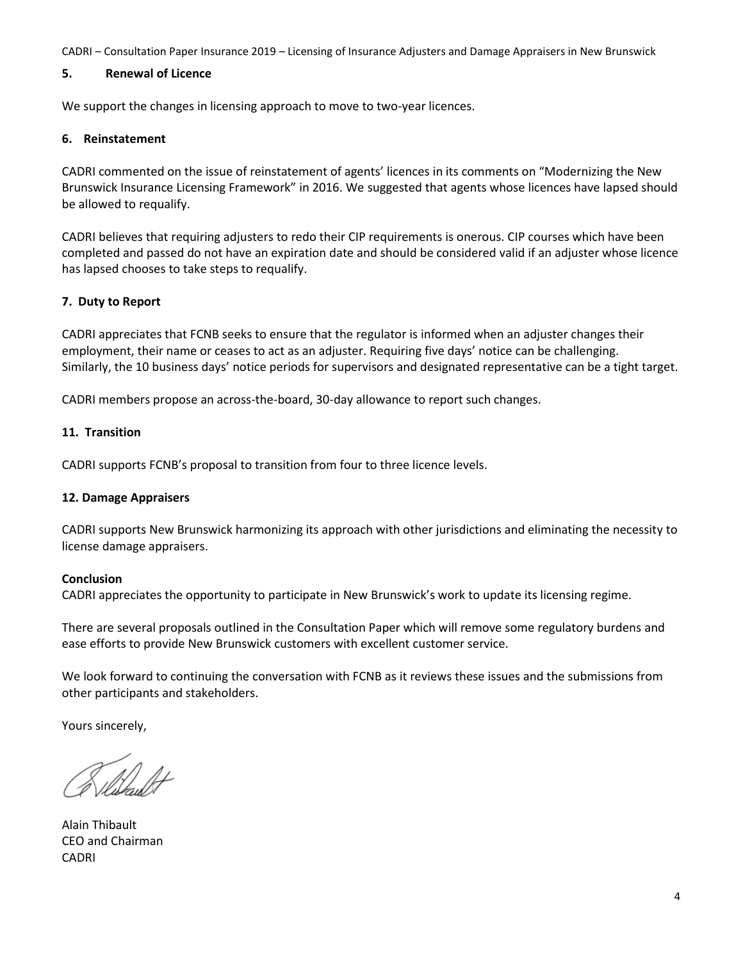# **5. Renewal of Licence**

We support the changes in licensing approach to move to two-year licences.

## **6. Reinstatement**

CADRI commented on the issue of reinstatement of agents' licences in its comments on "Modernizing the New Brunswick Insurance Licensing Framework" in 2016. We suggested that agents whose licences have lapsed should be allowed to requalify.

CADRI believes that requiring adjusters to redo their CIP requirements is onerous. CIP courses which have been completed and passed do not have an expiration date and should be considered valid if an adjuster whose licence has lapsed chooses to take steps to requalify.

# **7. Duty to Report**

CADRI appreciates that FCNB seeks to ensure that the regulator is informed when an adjuster changes their employment, their name or ceases to act as an adjuster. Requiring five days' notice can be challenging. Similarly, the 10 business days' notice periods for supervisors and designated representative can be a tight target.

CADRI members propose an across-the-board, 30-day allowance to report such changes.

## **11. Transition**

CADRI supports FCNB's proposal to transition from four to three licence levels.

## **12. Damage Appraisers**

CADRI supports New Brunswick harmonizing its approach with other jurisdictions and eliminating the necessity to license damage appraisers.

## **Conclusion**

CADRI appreciates the opportunity to participate in New Brunswick's work to update its licensing regime.

There are several proposals outlined in the Consultation Paper which will remove some regulatory burdens and ease efforts to provide New Brunswick customers with excellent customer service.

We look forward to continuing the conversation with FCNB as it reviews these issues and the submissions from other participants and stakeholders.

Yours sincerely,

Alain Thibault CEO and Chairman CADRI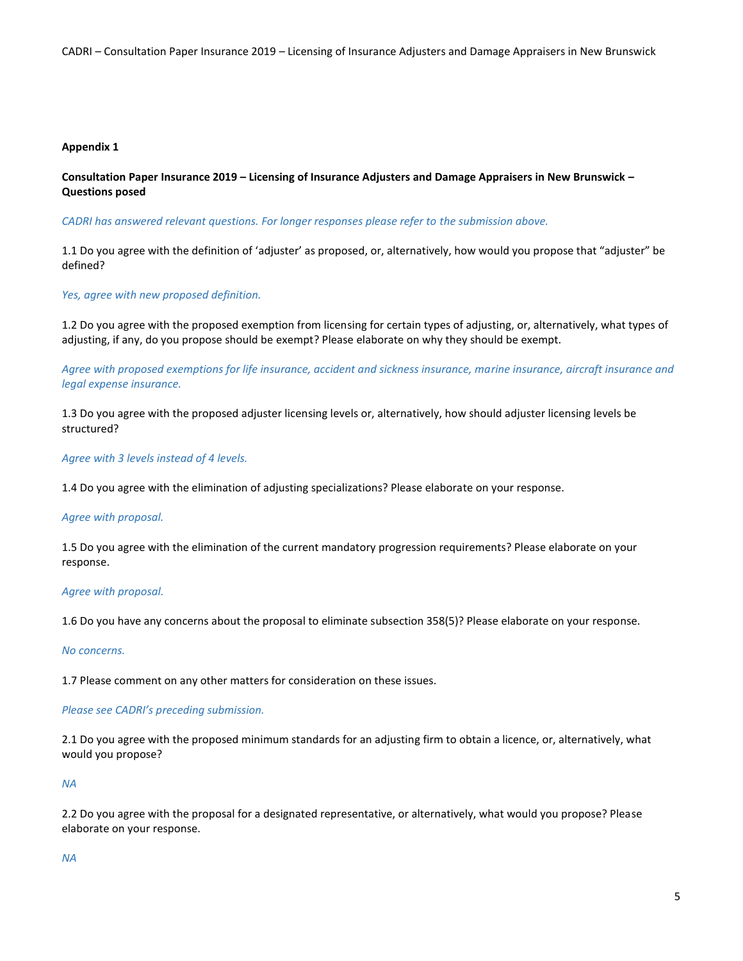### **Appendix 1**

**Consultation Paper Insurance 2019 – Licensing of Insurance Adjusters and Damage Appraisers in New Brunswick – Questions posed**

*CADRI has answered relevant questions. For longer responses please refer to the submission above.* 

1.1 Do you agree with the definition of 'adjuster' as proposed, or, alternatively, how would you propose that "adjuster" be defined?

### *Yes, agree with new proposed definition.*

1.2 Do you agree with the proposed exemption from licensing for certain types of adjusting, or, alternatively, what types of adjusting, if any, do you propose should be exempt? Please elaborate on why they should be exempt.

*Agree with proposed exemptions for life insurance, accident and sickness insurance, marine insurance, aircraft insurance and legal expense insurance.*

1.3 Do you agree with the proposed adjuster licensing levels or, alternatively, how should adjuster licensing levels be structured?

*Agree with 3 levels instead of 4 levels.*

1.4 Do you agree with the elimination of adjusting specializations? Please elaborate on your response.

### *Agree with proposal.*

1.5 Do you agree with the elimination of the current mandatory progression requirements? Please elaborate on your response.

#### *Agree with proposal.*

1.6 Do you have any concerns about the proposal to eliminate subsection 358(5)? Please elaborate on your response.

### *No concerns.*

1.7 Please comment on any other matters for consideration on these issues.

#### *Please see CADRI's preceding submission.*

2.1 Do you agree with the proposed minimum standards for an adjusting firm to obtain a licence, or, alternatively, what would you propose?

### *NA*

2.2 Do you agree with the proposal for a designated representative, or alternatively, what would you propose? Please elaborate on your response.

*NA*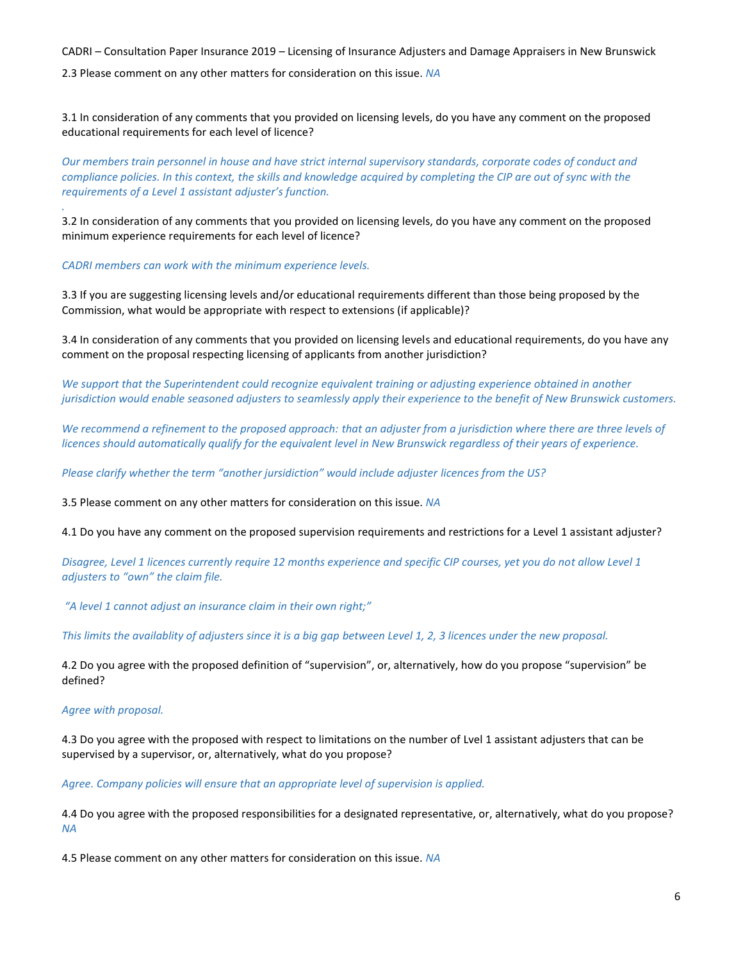CADRI – Consultation Paper Insurance 2019 – Licensing of Insurance Adjusters and Damage Appraisers in New Brunswick 2.3 Please comment on any other matters for consideration on this issue. *NA*

3.1 In consideration of any comments that you provided on licensing levels, do you have any comment on the proposed educational requirements for each level of licence?

*Our members train personnel in house and have strict internal supervisory standards, corporate codes of conduct and compliance policies. In this context, the skills and knowledge acquired by completing the CIP are out of sync with the requirements of a Level 1 assistant adjuster's function.* 

3.2 In consideration of any comments that you provided on licensing levels, do you have any comment on the proposed minimum experience requirements for each level of licence?

*CADRI members can work with the minimum experience levels.* 

3.3 If you are suggesting licensing levels and/or educational requirements different than those being proposed by the Commission, what would be appropriate with respect to extensions (if applicable)?

3.4 In consideration of any comments that you provided on licensing levels and educational requirements, do you have any comment on the proposal respecting licensing of applicants from another jurisdiction?

*We support that the Superintendent could recognize equivalent training or adjusting experience obtained in another jurisdiction would enable seasoned adjusters to seamlessly apply their experience to the benefit of New Brunswick customers.* 

*We recommend a refinement to the proposed approach: that an adjuster from a jurisdiction where there are three levels of licences should automatically qualify for the equivalent level in New Brunswick regardless of their years of experience.*

Please clarify whether the term "another jursidiction" would include adjuster licences from the US?

3.5 Please comment on any other matters for consideration on this issue. *NA*

4.1 Do you have any comment on the proposed supervision requirements and restrictions for a Level 1 assistant adjuster?

*Disagree, Level 1 licences currently require 12 months experience and specific CIP courses, yet you do not allow Level 1 adjusters to "own" the claim file.* 

*"A level 1 cannot adjust an insurance claim in their own right;"* 

*This limits the availablity of adjusters since it is a big gap between Level 1, 2, 3 licences under the new proposal.* 

4.2 Do you agree with the proposed definition of "supervision", or, alternatively, how do you propose "supervision" be defined?

*Agree with proposal.*

*.* 

4.3 Do you agree with the proposed with respect to limitations on the number of Lvel 1 assistant adjusters that can be supervised by a supervisor, or, alternatively, what do you propose?

*Agree. Company policies will ensure that an appropriate level of supervision is applied.* 

4.4 Do you agree with the proposed responsibilities for a designated representative, or, alternatively, what do you propose? *NA*

4.5 Please comment on any other matters for consideration on this issue. *NA*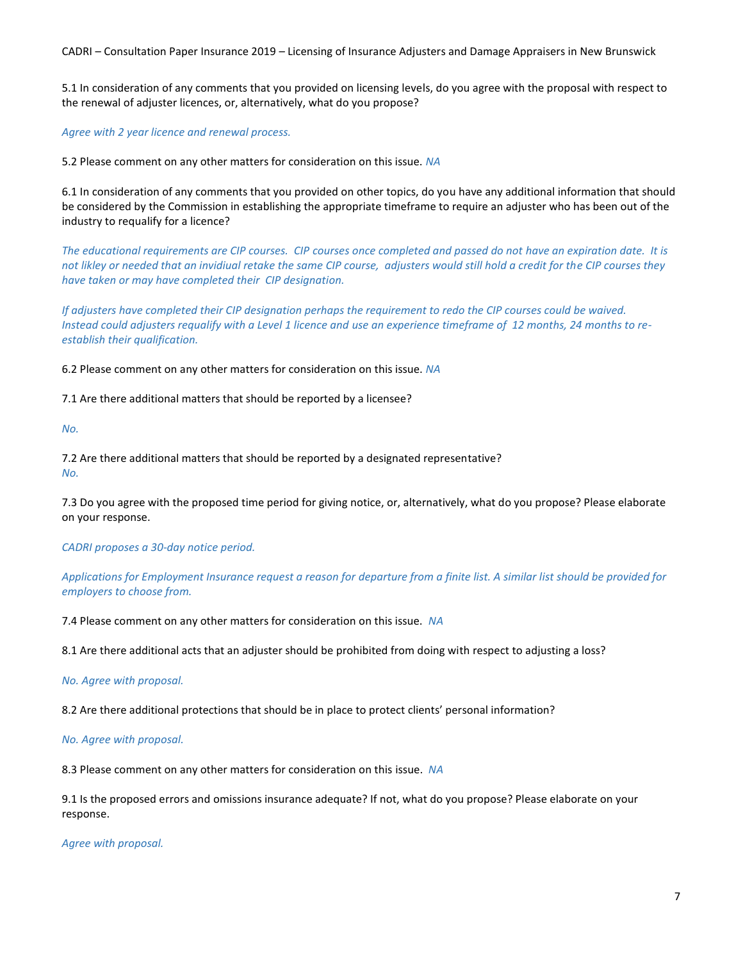5.1 In consideration of any comments that you provided on licensing levels, do you agree with the proposal with respect to the renewal of adjuster licences, or, alternatively, what do you propose?

*Agree with 2 year licence and renewal process.*

5.2 Please comment on any other matters for consideration on this issue. *NA*

6.1 In consideration of any comments that you provided on other topics, do you have any additional information that should be considered by the Commission in establishing the appropriate timeframe to require an adjuster who has been out of the industry to requalify for a licence?

*The educational requirements are CIP courses. CIP courses once completed and passed do not have an expiration date. It is not likley or needed that an invidiual retake the same CIP course, adjusters would still hold a credit for the CIP courses they have taken or may have completed their CIP designation.* 

*If adjusters have completed their CIP designation perhaps the requirement to redo the CIP courses could be waived. Instead could adjusters requalify with a Level 1 licence and use an experience timeframe of 12 months, 24 months to reestablish their qualification.*

6.2 Please comment on any other matters for consideration on this issue. *NA*

7.1 Are there additional matters that should be reported by a licensee?

*No.*

7.2 Are there additional matters that should be reported by a designated representative? *No.*

7.3 Do you agree with the proposed time period for giving notice, or, alternatively, what do you propose? Please elaborate on your response.

*CADRI proposes a 30-day notice period.* 

*Applications for Employment Insurance request a reason for departure from a finite list. A similar list should be provided for employers to choose from.* 

7.4 Please comment on any other matters for consideration on this issue. *NA*

8.1 Are there additional acts that an adjuster should be prohibited from doing with respect to adjusting a loss?

*No. Agree with proposal.*

8.2 Are there additional protections that should be in place to protect clients' personal information?

*No. Agree with proposal.*

8.3 Please comment on any other matters for consideration on this issue. *NA*

9.1 Is the proposed errors and omissions insurance adequate? If not, what do you propose? Please elaborate on your response.

*Agree with proposal.*